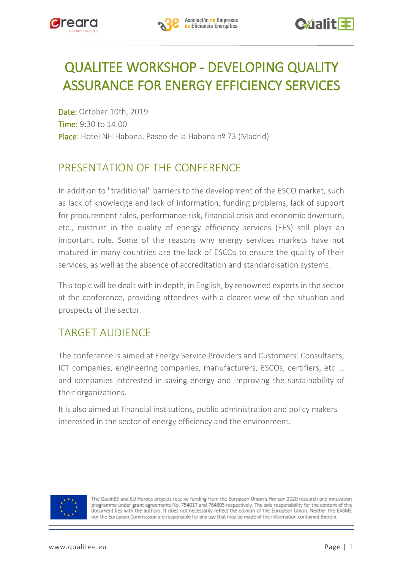

## QUALITEE WORKSHOP - DEVELOPING QUALITY ASSURANCE FOR ENERGY EFFICIENCY SERVICES

Date: October 10th, 2019 Time: 9:30 to 14:00 Place: Hotel NH Habana. Paseo de la Habana nº 73 (Madrid)

## PRESENTATION OF THE CONFERENCE

In addition to "traditional" barriers to the development of the ESCO market, such as lack of knowledge and lack of information, funding problems, lack of support for procurement rules, performance risk, financial crisis and economic downturn, etc., mistrust in the quality of energy efficiency services (EES) still plays an important role. Some of the reasons why energy services markets have not matured in many countries are the lack of ESCOs to ensure the quality of their services, as well as the absence of accreditation and standardisation systems.

This topic will be dealt with in depth, in English, by renowned experts in the sector at the conference, providing attendees with a clearer view of the situation and prospects of the sector.

## TARGET AUDIENCE

The conference is aimed at Energy Service Providers and Customers: Consultants, ICT companies, engineering companies, manufacturers, ESCOs, certifiers, etc ... and companies interested in saving energy and improving the sustainability of their organizations.

It is also aimed at financial institutions, public administration and policy makers interested in the sector of energy efficiency and the environment.



The QualitEE and EU Heroes projects receive funding from the European Union's Horizon 2020 research and innovation programme under grant agreements No. 754017 and 764805 respectively. The sole responsibility for the content of this document lies with the authors. It does not necessarily reflect the opinion of the European Union. Neither the EASME nor the European Commission are responsible for any use that may be made of the information contained therein.